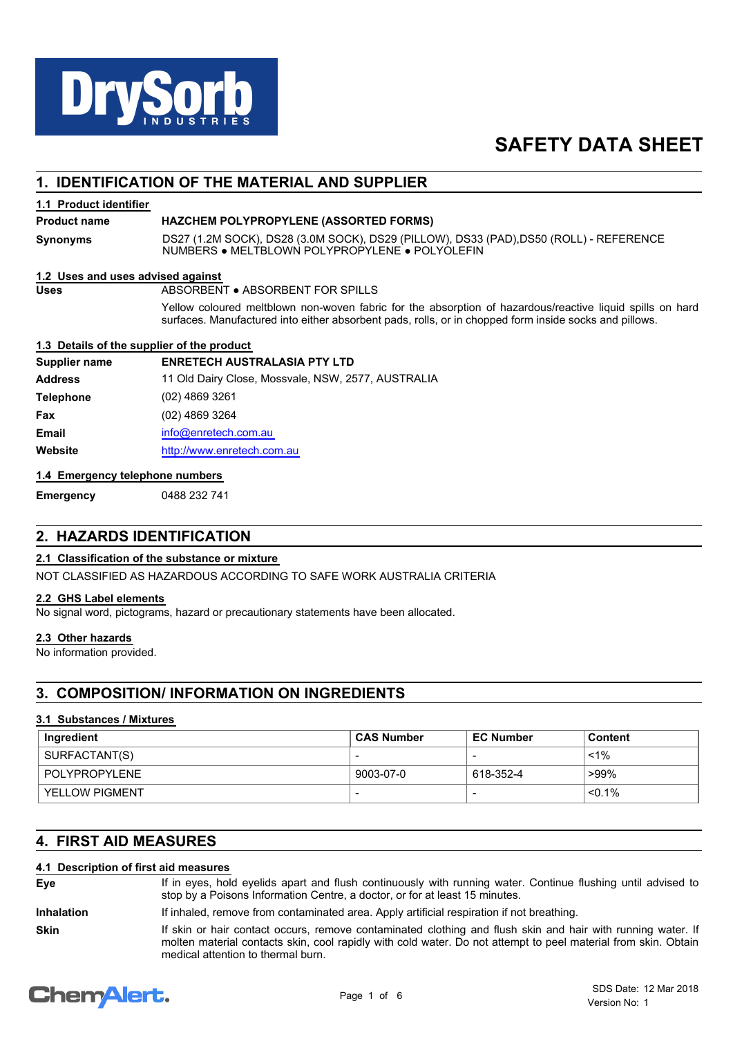

# **SAFETY DATA SHEET**

## **1. IDENTIFICATION OF THE MATERIAL AND SUPPLIER**

#### **1.1 Product identifier**

#### **Product name HAZCHEM POLYPROPYLENE (ASSORTED FORMS)**

**Synonyms**

DS27 (1.2M SOCK), DS28 (3.0M SOCK), DS29 (PILLOW), DS33 (PAD),DS50 (ROLL) - REFERENCE NUMBERS ● MELTBLOWN POLYPROPYLENE ● POLYOLEFIN

#### **1.2 Uses and uses advised against**

**Uses** ABSORBENT ● ABSORBENT FOR SPILLS

Yellow coloured meltblown non-woven fabric for the absorption of hazardous/reactive liquid spills on hard surfaces. Manufactured into either absorbent pads, rolls, or in chopped form inside socks and pillows.

#### **1.3 Details of the supplier of the product**

| Supplier name    | <b>ENRETECH AUSTRALASIA PTY LTD</b>                |
|------------------|----------------------------------------------------|
| <b>Address</b>   | 11 Old Dairy Close, Mossvale, NSW, 2577, AUSTRALIA |
| <b>Telephone</b> | (02) 4869 3261                                     |
| Fax              | (02) 4869 3264                                     |
| <b>Email</b>     | info@enretech.com.au                               |
| Website          | http://www.enretech.com.au                         |
|                  |                                                    |

#### **1.4 Emergency telephone numbers**

## **Emergency** 0488 232 741

# **2. HAZARDS IDENTIFICATION**

#### **2.1 Classification of the substance or mixture**

NOT CLASSIFIED AS HAZARDOUS ACCORDING TO SAFE WORK AUSTRALIA CRITERIA

#### **2.2 GHS Label elements**

No signal word, pictograms, hazard or precautionary statements have been allocated.

#### **2.3 Other hazards**

No information provided.

## **3. COMPOSITION/ INFORMATION ON INGREDIENTS**

#### **3.1 Substances / Mixtures**

| Ingredient            | ⊦CAS Number              | <b>EC Number</b> | Content   |
|-----------------------|--------------------------|------------------|-----------|
| SURFACTANT(S)         | $\overline{\phantom{0}}$ |                  | $< 1\%$   |
| POLYPROPYLENE         | 9003-07-0                | 618-352-4        | ั >99%    |
| <b>YELLOW PIGMENT</b> | $\overline{\phantom{0}}$ |                  | $< 0.1\%$ |

## **4. FIRST AID MEASURES**

#### **4.1 Description of first aid measures**

| If in eyes, hold eyelids apart and flush continuously with running water. Continue flushing until advised to |  |  |  |  |  |
|--------------------------------------------------------------------------------------------------------------|--|--|--|--|--|
| stop by a Poisons Information Centre, a doctor, or for at least 15 minutes.                                  |  |  |  |  |  |

**Inhalation** If inhaled, remove from contaminated area. Apply artificial respiration if not breathing.

If skin or hair contact occurs, remove contaminated clothing and flush skin and hair with running water. If molten material contacts skin, cool rapidly with cold water. Do not attempt to peel material from skin. Obtain medical attention to thermal burn. **Skin**

# **ChemAlert.**

**Eye**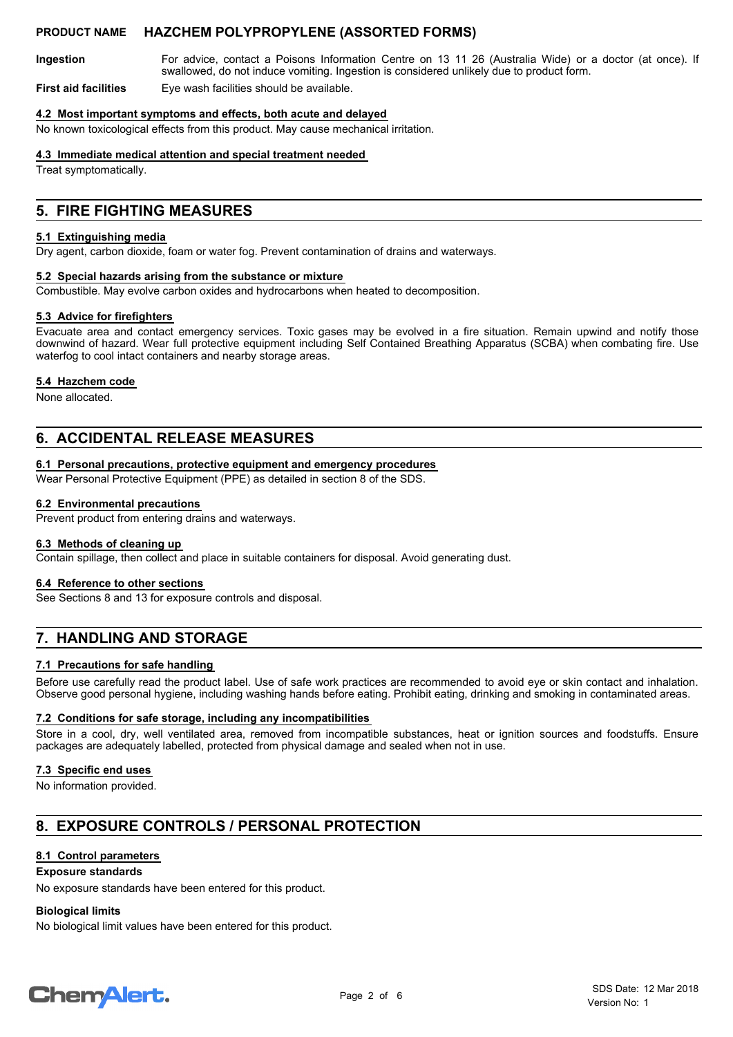For advice, contact a Poisons Information Centre on 13 11 26 (Australia Wide) or a doctor (at once). If swallowed, do not induce vomiting. Ingestion is considered unlikely due to product form. **Ingestion**

**First aid facilities** Eye wash facilities should be available.

#### **4.2 Most important symptoms and effects, both acute and delayed**

No known toxicological effects from this product. May cause mechanical irritation.

#### **4.3 Immediate medical attention and special treatment needed**

Treat symptomatically.

## **5. FIRE FIGHTING MEASURES**

#### **5.1 Extinguishing media**

Dry agent, carbon dioxide, foam or water fog. Prevent contamination of drains and waterways.

#### **5.2 Special hazards arising from the substance or mixture**

Combustible. May evolve carbon oxides and hydrocarbons when heated to decomposition.

#### **5.3 Advice for firefighters**

Evacuate area and contact emergency services. Toxic gases may be evolved in a fire situation. Remain upwind and notify those downwind of hazard. Wear full protective equipment including Self Contained Breathing Apparatus (SCBA) when combating fire. Use waterfog to cool intact containers and nearby storage areas.

#### **5.4 Hazchem code**

None allocated.

## **6. ACCIDENTAL RELEASE MEASURES**

#### **6.1 Personal precautions, protective equipment and emergency procedures**

Wear Personal Protective Equipment (PPE) as detailed in section 8 of the SDS.

#### **6.2 Environmental precautions**

Prevent product from entering drains and waterways.

#### **6.3 Methods of cleaning up**

Contain spillage, then collect and place in suitable containers for disposal. Avoid generating dust.

#### **6.4 Reference to other sections**

See Sections 8 and 13 for exposure controls and disposal.

## **7. HANDLING AND STORAGE**

#### **7.1 Precautions for safe handling**

Before use carefully read the product label. Use of safe work practices are recommended to avoid eye or skin contact and inhalation. Observe good personal hygiene, including washing hands before eating. Prohibit eating, drinking and smoking in contaminated areas.

#### **7.2 Conditions for safe storage, including any incompatibilities**

Store in a cool, dry, well ventilated area, removed from incompatible substances, heat or ignition sources and foodstuffs. Ensure packages are adequately labelled, protected from physical damage and sealed when not in use.

#### **7.3 Specific end uses**

No information provided.

# **8. EXPOSURE CONTROLS / PERSONAL PROTECTION**

#### **8.1 Control parameters**

#### **Exposure standards**

No exposure standards have been entered for this product.

#### **Biological limits**

No biological limit values have been entered for this product.

# **ChemAlert.**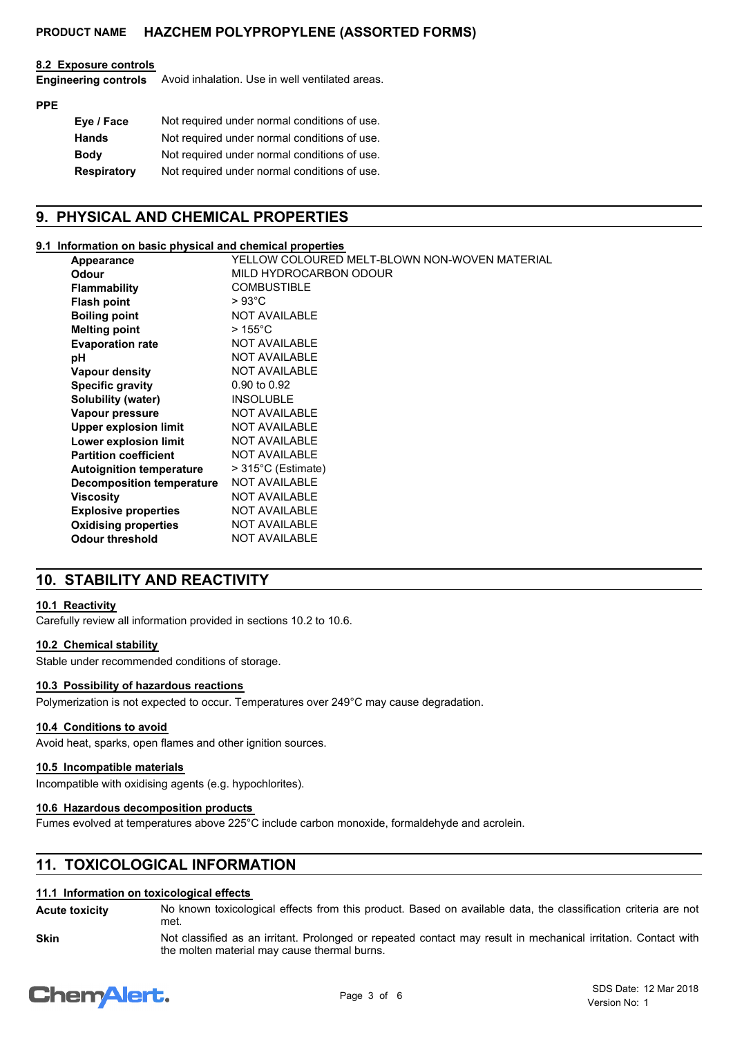#### **8.2 Exposure controls**

Avoid inhalation. Use in well ventilated areas. **Engineering controls**

### **PPE**

| Eye / Face         | Not required under normal conditions of use. |
|--------------------|----------------------------------------------|
| <b>Hands</b>       | Not required under normal conditions of use. |
| <b>Body</b>        | Not required under normal conditions of use. |
| <b>Respiratory</b> | Not required under normal conditions of use. |

# **9. PHYSICAL AND CHEMICAL PROPERTIES**

### **9.1 Information on basic physical and chemical properties**

| Appearance                       | YELLOW COLOURED MELT-BLOWN NON-WOVEN MATERIAL |
|----------------------------------|-----------------------------------------------|
| <b>Odour</b>                     | MILD HYDROCARBON ODOUR                        |
| <b>Flammability</b>              | <b>COMBUSTIBLE</b>                            |
| <b>Flash point</b>               | $>93^{\circ}$ C                               |
| <b>Boiling point</b>             | <b>NOT AVAILABLE</b>                          |
| <b>Melting point</b>             | $>155^{\circ}$ C                              |
| <b>Evaporation rate</b>          | <b>NOT AVAILABLE</b>                          |
| рH                               | <b>NOT AVAILABLE</b>                          |
| Vapour density                   | <b>NOT AVAILABLE</b>                          |
| <b>Specific gravity</b>          | 0.90 to 0.92                                  |
| Solubility (water)               | <b>INSOLUBLE</b>                              |
| Vapour pressure                  | <b>NOT AVAILABLE</b>                          |
| <b>Upper explosion limit</b>     | <b>NOT AVAILABLE</b>                          |
| Lower explosion limit            | <b>NOT AVAILABLE</b>                          |
| <b>Partition coefficient</b>     | <b>NOT AVAILABLE</b>                          |
| <b>Autoignition temperature</b>  | $>315^{\circ}$ C (Estimate)                   |
| <b>Decomposition temperature</b> | <b>NOT AVAILABLE</b>                          |
| <b>Viscosity</b>                 | <b>NOT AVAILABLE</b>                          |
| <b>Explosive properties</b>      | <b>NOT AVAILABLE</b>                          |
| <b>Oxidising properties</b>      | <b>NOT AVAILABLE</b>                          |
| <b>Odour threshold</b>           | <b>NOT AVAILABLE</b>                          |

# **10. STABILITY AND REACTIVITY**

#### **10.1 Reactivity**

Carefully review all information provided in sections 10.2 to 10.6.

## **10.2 Chemical stability**

Stable under recommended conditions of storage.

#### **10.3 Possibility of hazardous reactions**

Polymerization is not expected to occur. Temperatures over 249°C may cause degradation.

#### **10.4 Conditions to avoid**

Avoid heat, sparks, open flames and other ignition sources.

#### **10.5 Incompatible materials**

Incompatible with oxidising agents (e.g. hypochlorites).

#### **10.6 Hazardous decomposition products**

Fumes evolved at temperatures above 225°C include carbon monoxide, formaldehyde and acrolein.

# **11. TOXICOLOGICAL INFORMATION**

#### **11.1 Information on toxicological effects**

No known toxicological effects from this product. Based on available data, the classification criteria are not met. **Acute toxicity**

Not classified as an irritant. Prolonged or repeated contact may result in mechanical irritation. Contact with the molten material may cause thermal burns. **Skin**

# **ChemAlert.**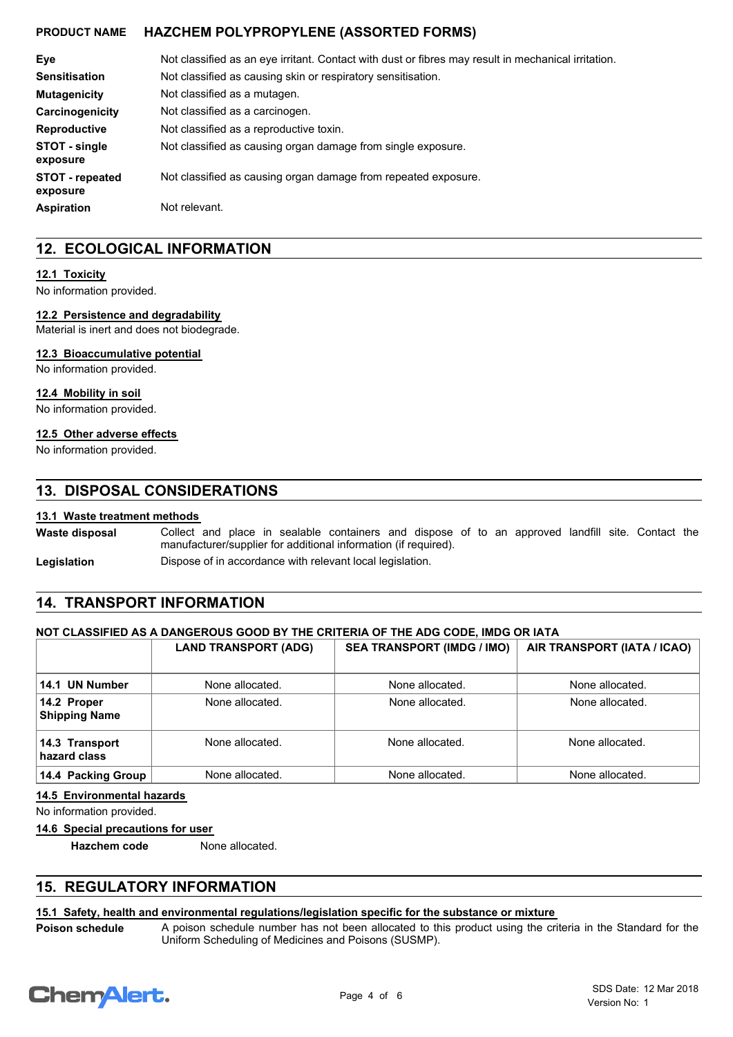| Eye                                | Not classified as an eye irritant. Contact with dust or fibres may result in mechanical irritation. |  |  |
|------------------------------------|-----------------------------------------------------------------------------------------------------|--|--|
| <b>Sensitisation</b>               | Not classified as causing skin or respiratory sensitisation.                                        |  |  |
| <b>Mutagenicity</b>                | Not classified as a mutagen.                                                                        |  |  |
| Carcinogenicity                    | Not classified as a carcinogen.                                                                     |  |  |
| <b>Reproductive</b>                | Not classified as a reproductive toxin.                                                             |  |  |
| STOT - single<br>exposure          | Not classified as causing organ damage from single exposure.                                        |  |  |
| <b>STOT</b> - repeated<br>exposure | Not classified as causing organ damage from repeated exposure.                                      |  |  |
| <b>Aspiration</b>                  | Not relevant.                                                                                       |  |  |

## **12. ECOLOGICAL INFORMATION**

#### **12.1 Toxicity**

No information provided.

#### **12.2 Persistence and degradability**

Material is inert and does not biodegrade.

#### **12.3 Bioaccumulative potential**

No information provided.

#### **12.4 Mobility in soil**

No information provided.

#### **12.5 Other adverse effects**

No information provided.

## **13. DISPOSAL CONSIDERATIONS**

#### **13.1 Waste treatment methods**

Collect and place in sealable containers and dispose of to an approved landfill site. Contact the manufacturer/supplier for additional information (if required). **Waste disposal**

**Legislation Dispose of in accordance with relevant local legislation.** 

## **14. TRANSPORT INFORMATION**

#### **NOT CLASSIFIED AS A DANGEROUS GOOD BY THE CRITERIA OF THE ADG CODE, IMDG OR IATA**

|                                     | <b>LAND TRANSPORT (ADG)</b> | <b>SEA TRANSPORT (IMDG / IMO)</b> | AIR TRANSPORT (IATA / ICAO) |
|-------------------------------------|-----------------------------|-----------------------------------|-----------------------------|
| 14.1 UN Number                      | None allocated.             | None allocated.                   | None allocated.             |
| 14.2 Proper<br><b>Shipping Name</b> | None allocated.             | None allocated.                   | None allocated.             |
| 14.3 Transport<br>hazard class      | None allocated.             | None allocated.                   | None allocated.             |
| 14.4 Packing Group                  | None allocated.             | None allocated.                   | None allocated.             |

#### **14.5 Environmental hazards**

No information provided.

#### **14.6 Special precautions for user**

**Hazchem code** None allocated.

## **15. REGULATORY INFORMATION**

#### **15.1 Safety, health and environmental regulations/legislation specific for the substance or mixture**

A poison schedule number has not been allocated to this product using the criteria in the Standard for the Uniform Scheduling of Medicines and Poisons (SUSMP).



**Poison schedule**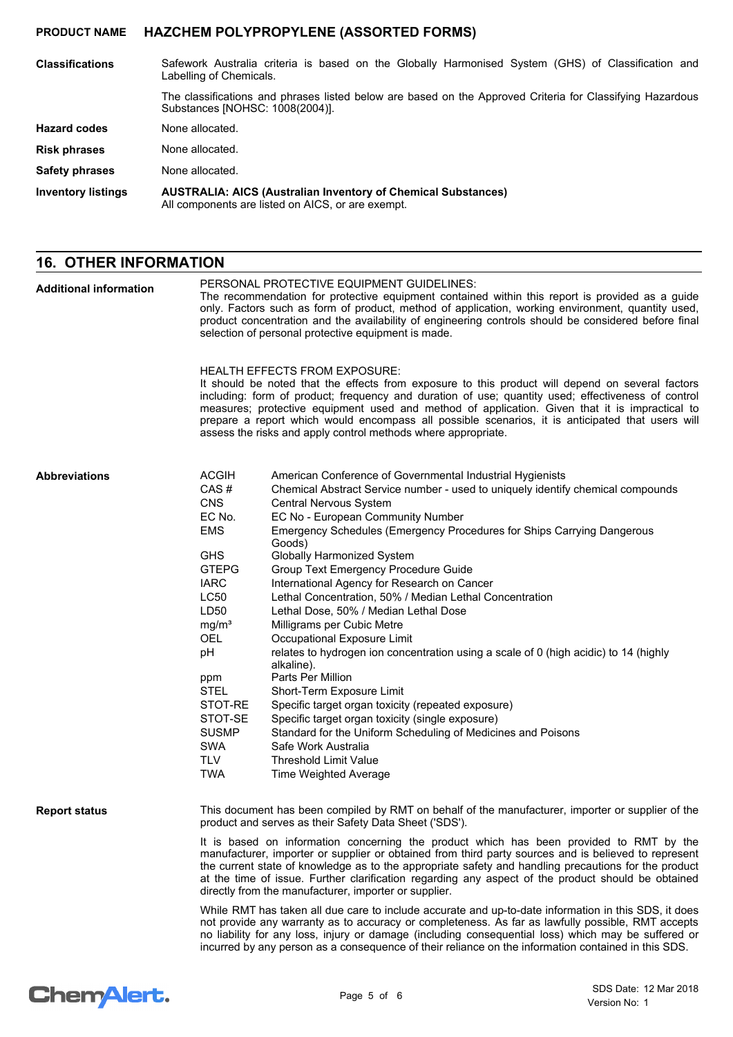| <b>Classifications</b>    | Safework Australia criteria is based on the Globally Harmonised System (GHS) of Classification and<br>Labelling of Chemicals.                |
|---------------------------|----------------------------------------------------------------------------------------------------------------------------------------------|
|                           | The classifications and phrases listed below are based on the Approved Criteria for Classifying Hazardous<br>Substances [NOHSC: 1008(2004)]. |
| <b>Hazard codes</b>       | None allocated.                                                                                                                              |
| <b>Risk phrases</b>       | None allocated.                                                                                                                              |
| Safety phrases            | None allocated.                                                                                                                              |
| <b>Inventory listings</b> | <b>AUSTRALIA: AICS (Australian Inventory of Chemical Substances)</b><br>All components are listed on AICS, or are exempt.                    |

# **16. OTHER INFORMATION**

| <b>Additional information</b> | PERSONAL PROTECTIVE EQUIPMENT GUIDELINES:<br>The recommendation for protective equipment contained within this report is provided as a guide<br>only. Factors such as form of product, method of application, working environment, quantity used,<br>product concentration and the availability of engineering controls should be considered before final<br>selection of personal protective equipment is made.<br>HEALTH EFFECTS FROM EXPOSURE:<br>It should be noted that the effects from exposure to this product will depend on several factors |                                                                                                                                                                                                                                                                                                                                                                                                                         |  |  |
|-------------------------------|-------------------------------------------------------------------------------------------------------------------------------------------------------------------------------------------------------------------------------------------------------------------------------------------------------------------------------------------------------------------------------------------------------------------------------------------------------------------------------------------------------------------------------------------------------|-------------------------------------------------------------------------------------------------------------------------------------------------------------------------------------------------------------------------------------------------------------------------------------------------------------------------------------------------------------------------------------------------------------------------|--|--|
|                               |                                                                                                                                                                                                                                                                                                                                                                                                                                                                                                                                                       | including: form of product; frequency and duration of use; quantity used; effectiveness of control<br>measures; protective equipment used and method of application. Given that it is impractical to<br>prepare a report which would encompass all possible scenarios, it is anticipated that users will<br>assess the risks and apply control methods where appropriate.                                               |  |  |
| <b>Abbreviations</b>          | <b>ACGIH</b><br>CAS#<br><b>CNS</b><br>EC No.                                                                                                                                                                                                                                                                                                                                                                                                                                                                                                          | American Conference of Governmental Industrial Hygienists<br>Chemical Abstract Service number - used to uniquely identify chemical compounds<br>Central Nervous System<br>EC No - European Community Number                                                                                                                                                                                                             |  |  |
|                               | <b>EMS</b><br><b>GHS</b>                                                                                                                                                                                                                                                                                                                                                                                                                                                                                                                              | Emergency Schedules (Emergency Procedures for Ships Carrying Dangerous<br>Goods)<br>Globally Harmonized System                                                                                                                                                                                                                                                                                                          |  |  |
|                               | <b>GTEPG</b>                                                                                                                                                                                                                                                                                                                                                                                                                                                                                                                                          | Group Text Emergency Procedure Guide                                                                                                                                                                                                                                                                                                                                                                                    |  |  |
|                               | <b>IARC</b>                                                                                                                                                                                                                                                                                                                                                                                                                                                                                                                                           | International Agency for Research on Cancer                                                                                                                                                                                                                                                                                                                                                                             |  |  |
|                               | LC50                                                                                                                                                                                                                                                                                                                                                                                                                                                                                                                                                  | Lethal Concentration, 50% / Median Lethal Concentration                                                                                                                                                                                                                                                                                                                                                                 |  |  |
|                               | LD50                                                                                                                                                                                                                                                                                                                                                                                                                                                                                                                                                  | Lethal Dose, 50% / Median Lethal Dose                                                                                                                                                                                                                                                                                                                                                                                   |  |  |
|                               | mg/m <sup>3</sup>                                                                                                                                                                                                                                                                                                                                                                                                                                                                                                                                     | Milligrams per Cubic Metre                                                                                                                                                                                                                                                                                                                                                                                              |  |  |
|                               | <b>OEL</b>                                                                                                                                                                                                                                                                                                                                                                                                                                                                                                                                            | Occupational Exposure Limit                                                                                                                                                                                                                                                                                                                                                                                             |  |  |
|                               | pH                                                                                                                                                                                                                                                                                                                                                                                                                                                                                                                                                    | relates to hydrogen ion concentration using a scale of 0 (high acidic) to 14 (highly<br>alkaline).                                                                                                                                                                                                                                                                                                                      |  |  |
|                               | ppm                                                                                                                                                                                                                                                                                                                                                                                                                                                                                                                                                   | Parts Per Million                                                                                                                                                                                                                                                                                                                                                                                                       |  |  |
|                               | <b>STEL</b>                                                                                                                                                                                                                                                                                                                                                                                                                                                                                                                                           | Short-Term Exposure Limit                                                                                                                                                                                                                                                                                                                                                                                               |  |  |
|                               | STOT-RE                                                                                                                                                                                                                                                                                                                                                                                                                                                                                                                                               | Specific target organ toxicity (repeated exposure)                                                                                                                                                                                                                                                                                                                                                                      |  |  |
|                               | STOT-SE                                                                                                                                                                                                                                                                                                                                                                                                                                                                                                                                               | Specific target organ toxicity (single exposure)                                                                                                                                                                                                                                                                                                                                                                        |  |  |
|                               | <b>SUSMP</b>                                                                                                                                                                                                                                                                                                                                                                                                                                                                                                                                          | Standard for the Uniform Scheduling of Medicines and Poisons                                                                                                                                                                                                                                                                                                                                                            |  |  |
|                               | <b>SWA</b><br><b>TLV</b>                                                                                                                                                                                                                                                                                                                                                                                                                                                                                                                              | Safe Work Australia<br><b>Threshold Limit Value</b>                                                                                                                                                                                                                                                                                                                                                                     |  |  |
|                               |                                                                                                                                                                                                                                                                                                                                                                                                                                                                                                                                                       |                                                                                                                                                                                                                                                                                                                                                                                                                         |  |  |
|                               | <b>TWA</b>                                                                                                                                                                                                                                                                                                                                                                                                                                                                                                                                            | Time Weighted Average                                                                                                                                                                                                                                                                                                                                                                                                   |  |  |
| <b>Report status</b>          | This document has been compiled by RMT on behalf of the manufacturer, importer or supplier of the<br>product and serves as their Safety Data Sheet ('SDS').                                                                                                                                                                                                                                                                                                                                                                                           |                                                                                                                                                                                                                                                                                                                                                                                                                         |  |  |
|                               | It is based on information concerning the product which has been provided to RMT by the<br>manufacturer, importer or supplier or obtained from third party sources and is believed to represent<br>the current state of knowledge as to the appropriate safety and handling precautions for the product<br>at the time of issue. Further clarification regarding any aspect of the product should be obtained<br>directly from the manufacturer, importer or supplier.                                                                                |                                                                                                                                                                                                                                                                                                                                                                                                                         |  |  |
|                               |                                                                                                                                                                                                                                                                                                                                                                                                                                                                                                                                                       | While RMT has taken all due care to include accurate and up-to-date information in this SDS, it does<br>not provide any warranty as to accuracy or completeness. As far as lawfully possible, RMT accepts<br>no liability for any loss, injury or damage (including consequential loss) which may be suffered or<br>incurred by any person as a consequence of their reliance on the information contained in this SDS. |  |  |

# Chem<sup>Alert.</sup>